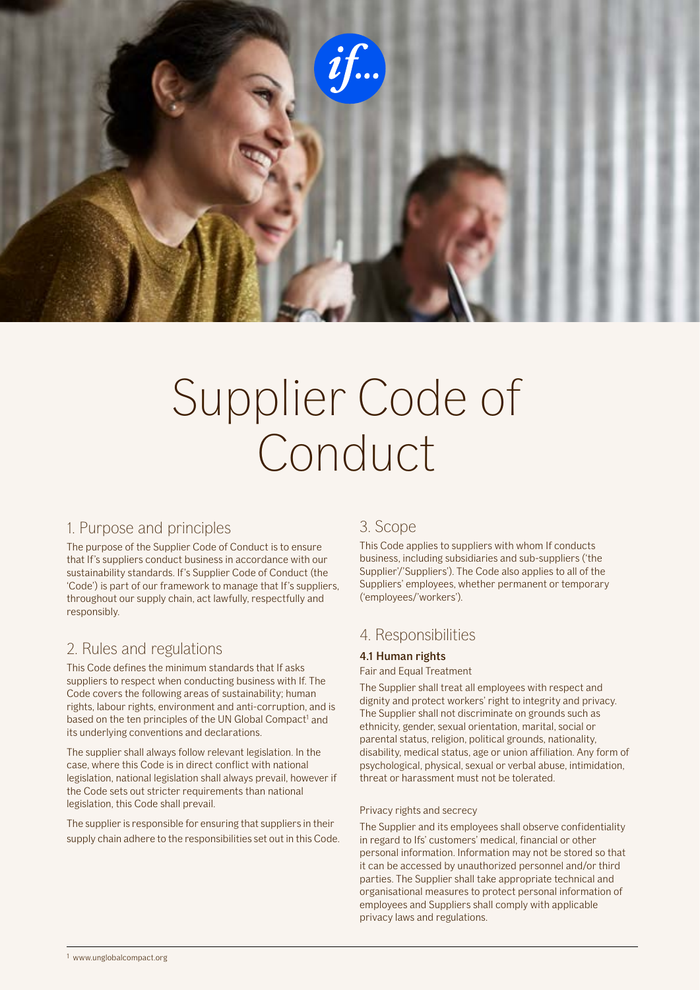

# Supplier Code of Conduct

# 1. Purpose and principles

The purpose of the Supplier Code of Conduct is to ensure that If's suppliers conduct business in accordance with our sustainability standards. If's Supplier Code of Conduct (the 'Code') is part of our framework to manage that If's suppliers, throughout our supply chain, act lawfully, respectfully and responsibly.

# 2. Rules and regulations

This Code defines the minimum standards that If asks suppliers to respect when conducting business with If. The Code covers the following areas of sustainability; human rights, labour rights, environment and anti-corruption, and is based on the ten principles of the UN Global Compact<sup>1</sup> and its underlying conventions and declarations.

The supplier shall always follow relevant legislation. In the case, where this Code is in direct conflict with national legislation, national legislation shall always prevail, however if the Code sets out stricter requirements than national legislation, this Code shall prevail.

The supplier is responsible for ensuring that suppliers in their supply chain adhere to the responsibilities set out in this Code.

## 3. Scope

This Code applies to suppliers with whom If conducts business, including subsidiaries and sub-suppliers ('the Supplier'/'Suppliers'). The Code also applies to all of the Suppliers' employees, whether permanent or temporary ('employees/'workers').

# 4. Responsibilities

## 4.1 Human rights

Fair and Equal Treatment

The Supplier shall treat all employees with respect and dignity and protect workers' right to integrity and privacy. The Supplier shall not discriminate on grounds such as ethnicity, gender, sexual orientation, marital, social or parental status, religion, political grounds, nationality, disability, medical status, age or union affiliation. Any form of psychological, physical, sexual or verbal abuse, intimidation, threat or harassment must not be tolerated.

## Privacy rights and secrecy

The Supplier and its employees shall observe confidentiality in regard to Ifs' customers' medical, financial or other personal information. Information may not be stored so that it can be accessed by unauthorized personnel and/or third parties. The Supplier shall take appropriate technical and organisational measures to protect personal information of employees and Suppliers shall comply with applicable privacy laws and regulations.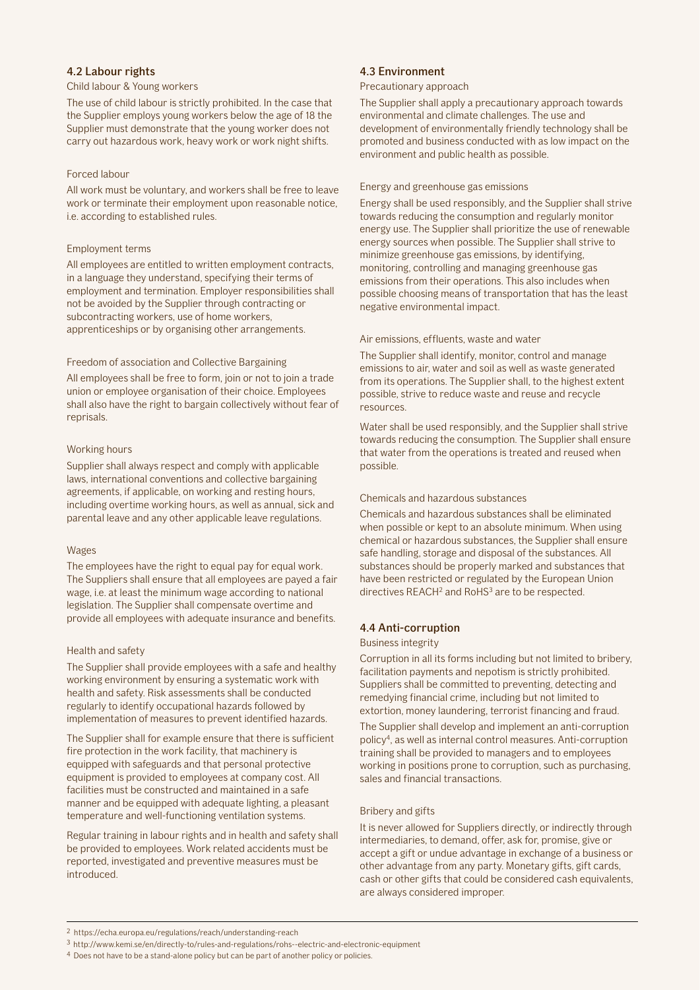#### 4.2 Labour rights

#### Child labour & Young workers

The use of child labour is strictly prohibited. In the case that the Supplier employs young workers below the age of 18 the Supplier must demonstrate that the young worker does not carry out hazardous work, heavy work or work night shifts.

#### Forced labour

All work must be voluntary, and workers shall be free to leave work or terminate their employment upon reasonable notice, i.e. according to established rules.

#### Employment terms

All employees are entitled to written employment contracts, in a language they understand, specifying their terms of employment and termination. Employer responsibilities shall not be avoided by the Supplier through contracting or subcontracting workers, use of home workers, apprenticeships or by organising other arrangements.

#### Freedom of association and Collective Bargaining

All employees shall be free to form, join or not to join a trade union or employee organisation of their choice. Employees shall also have the right to bargain collectively without fear of reprisals.

#### Working hours

Supplier shall always respect and comply with applicable laws, international conventions and collective bargaining agreements, if applicable, on working and resting hours, including overtime working hours, as well as annual, sick and parental leave and any other applicable leave regulations.

#### Wages

The employees have the right to equal pay for equal work. The Suppliers shall ensure that all employees are payed a fair wage, i.e. at least the minimum wage according to national legislation. The Supplier shall compensate overtime and provide all employees with adequate insurance and benefits.

#### Health and safety

The Supplier shall provide employees with a safe and healthy working environment by ensuring a systematic work with health and safety. Risk assessments shall be conducted regularly to identify occupational hazards followed by implementation of measures to prevent identified hazards.

The Supplier shall for example ensure that there is sufficient fire protection in the work facility, that machinery is equipped with safeguards and that personal protective equipment is provided to employees at company cost. All facilities must be constructed and maintained in a safe manner and be equipped with adequate lighting, a pleasant temperature and well-functioning ventilation systems.

Regular training in labour rights and in health and safety shall be provided to employees. Work related accidents must be reported, investigated and preventive measures must be introduced.

#### 4.3 Environment

Precautionary approach

The Supplier shall apply a precautionary approach towards environmental and climate challenges. The use and development of environmentally friendly technology shall be promoted and business conducted with as low impact on the environment and public health as possible.

#### Energy and greenhouse gas emissions

Energy shall be used responsibly, and the Supplier shall strive towards reducing the consumption and regularly monitor energy use. The Supplier shall prioritize the use of renewable energy sources when possible. The Supplier shall strive to minimize greenhouse gas emissions, by identifying, monitoring, controlling and managing greenhouse gas emissions from their operations. This also includes when possible choosing means of transportation that has the least negative environmental impact.

#### Air emissions, effluents, waste and water

The Supplier shall identify, monitor, control and manage emissions to air, water and soil as well as waste generated from its operations. The Supplier shall, to the highest extent possible, strive to reduce waste and reuse and recycle resources.

Water shall be used responsibly, and the Supplier shall strive towards reducing the consumption. The Supplier shall ensure that water from the operations is treated and reused when possible.

#### Chemicals and hazardous substances

Chemicals and hazardous substances shall be eliminated when possible or kept to an absolute minimum. When using chemical or hazardous substances, the Supplier shall ensure safe handling, storage and disposal of the substances. All substances should be properly marked and substances that have been restricted or regulated by the European Union directives REACH<sup>2</sup> and RoHS<sup>3</sup> are to be respected.

#### 4.4 Anti-corruption

#### Business integrity

Corruption in all its forms including but not limited to bribery, facilitation payments and nepotism is strictly prohibited. Suppliers shall be committed to preventing, detecting and remedying financial crime, including but not limited to extortion, money laundering, terrorist financing and fraud.

The Supplier shall develop and implement an anti-corruption policy4, as well as internal control measures. Anti-corruption training shall be provided to managers and to employees working in positions prone to corruption, such as purchasing, sales and financial transactions.

#### Bribery and gifts

It is never allowed for Suppliers directly, or indirectly through intermediaries, to demand, offer, ask for, promise, give or accept a gift or undue advantage in exchange of a business or other advantage from any party. Monetary gifts, gift cards, cash or other gifts that could be considered cash equivalents, are always considered improper.

3 http://www.kemi.se/en/directly-to/rules-and-regulations/rohs--electric-and-electronic-equipment

<sup>2</sup> https://echa.europa.eu/regulations/reach/understanding-reach

 $4$  Does not have to be a stand-alone policy but can be part of another policy or policies.